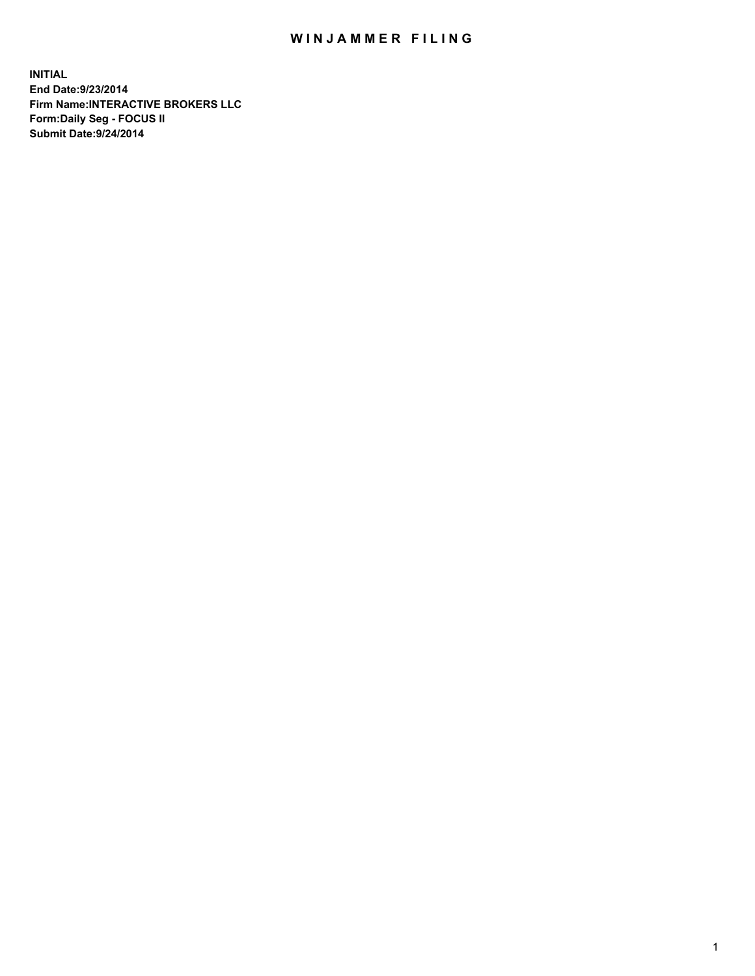## WIN JAMMER FILING

**INITIAL End Date:9/23/2014 Firm Name:INTERACTIVE BROKERS LLC Form:Daily Seg - FOCUS II Submit Date:9/24/2014**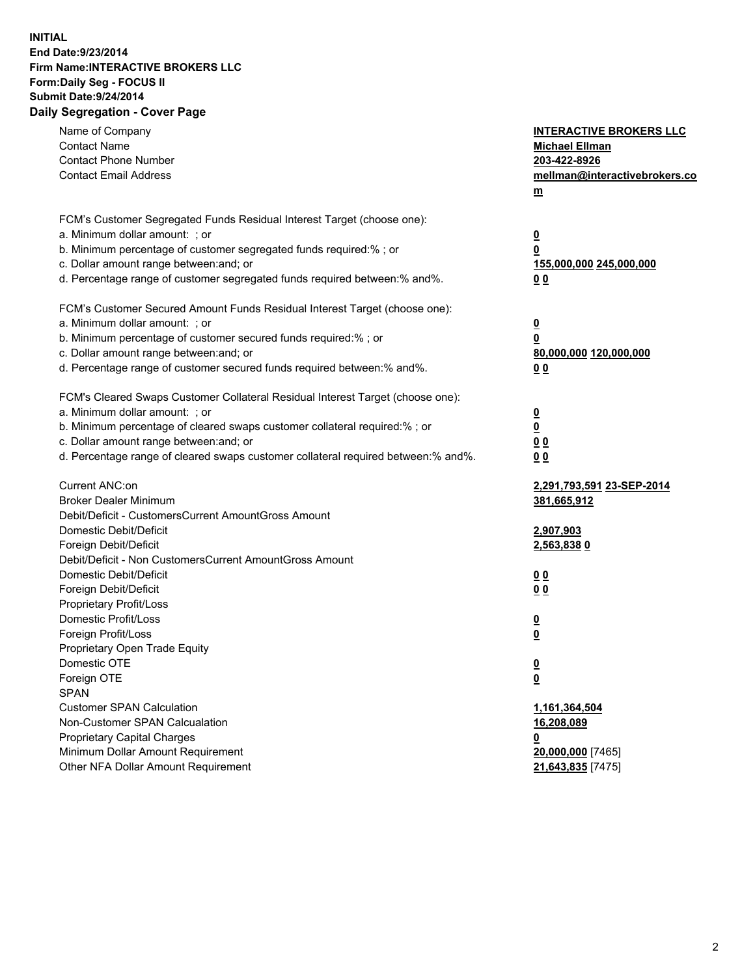## **INITIAL End Date:9/23/2014 Firm Name:INTERACTIVE BROKERS LLC Form:Daily Seg - FOCUS II Submit Date:9/24/2014 Daily Segregation - Cover Page**

| Name of Company<br><b>Contact Name</b><br><b>Contact Phone Number</b><br><b>Contact Email Address</b>    | <b>INTERACTIVE BROKERS LLC</b><br><b>Michael Ellman</b><br>203-422-8926<br>mellman@interactivebrokers.co<br>$m$ |
|----------------------------------------------------------------------------------------------------------|-----------------------------------------------------------------------------------------------------------------|
| FCM's Customer Segregated Funds Residual Interest Target (choose one):<br>a. Minimum dollar amount: ; or | $\overline{\mathbf{0}}$                                                                                         |
| b. Minimum percentage of customer segregated funds required:% ; or                                       | 0                                                                                                               |
| c. Dollar amount range between: and; or                                                                  | 155,000,000 245,000,000                                                                                         |
| d. Percentage range of customer segregated funds required between:% and%.                                | 0 <sub>0</sub>                                                                                                  |
| FCM's Customer Secured Amount Funds Residual Interest Target (choose one):                               |                                                                                                                 |
| a. Minimum dollar amount: ; or                                                                           | $\overline{\mathbf{0}}$                                                                                         |
| b. Minimum percentage of customer secured funds required:% ; or                                          | 0                                                                                                               |
| c. Dollar amount range between: and; or                                                                  | 80,000,000 120,000,000                                                                                          |
| d. Percentage range of customer secured funds required between:% and%.                                   | 0 <sub>0</sub>                                                                                                  |
| FCM's Cleared Swaps Customer Collateral Residual Interest Target (choose one):                           |                                                                                                                 |
| a. Minimum dollar amount: ; or                                                                           | $\overline{\mathbf{0}}$                                                                                         |
| b. Minimum percentage of cleared swaps customer collateral required:% ; or                               | $\overline{\mathbf{0}}$                                                                                         |
| c. Dollar amount range between: and; or                                                                  | 0 <sub>0</sub>                                                                                                  |
| d. Percentage range of cleared swaps customer collateral required between:% and%.                        | 0 <sub>0</sub>                                                                                                  |
| Current ANC:on                                                                                           | 2,291,793,591 23-SEP-2014                                                                                       |
| <b>Broker Dealer Minimum</b>                                                                             | 381,665,912                                                                                                     |
| Debit/Deficit - CustomersCurrent AmountGross Amount                                                      |                                                                                                                 |
| Domestic Debit/Deficit                                                                                   | 2,907,903                                                                                                       |
| Foreign Debit/Deficit                                                                                    | 2,563,8380                                                                                                      |
| Debit/Deficit - Non CustomersCurrent AmountGross Amount                                                  |                                                                                                                 |
| Domestic Debit/Deficit                                                                                   | 0 <sub>0</sub>                                                                                                  |
| Foreign Debit/Deficit                                                                                    | 0 <sub>0</sub>                                                                                                  |
| Proprietary Profit/Loss                                                                                  |                                                                                                                 |
| Domestic Profit/Loss<br>Foreign Profit/Loss                                                              | $\overline{\mathbf{0}}$                                                                                         |
| Proprietary Open Trade Equity                                                                            | $\underline{\mathbf{0}}$                                                                                        |
| Domestic OTE                                                                                             | <u>0</u>                                                                                                        |
| Foreign OTE                                                                                              |                                                                                                                 |
| <b>SPAN</b>                                                                                              | <u>0</u>                                                                                                        |
| <b>Customer SPAN Calculation</b>                                                                         | 1,161,364,504                                                                                                   |
| Non-Customer SPAN Calcualation                                                                           | 16,208,089                                                                                                      |
| Proprietary Capital Charges                                                                              | <u>0</u>                                                                                                        |
| Minimum Dollar Amount Requirement                                                                        | 20,000,000 [7465]                                                                                               |
| Other NFA Dollar Amount Requirement                                                                      | 21,643,835 [7475]                                                                                               |
|                                                                                                          |                                                                                                                 |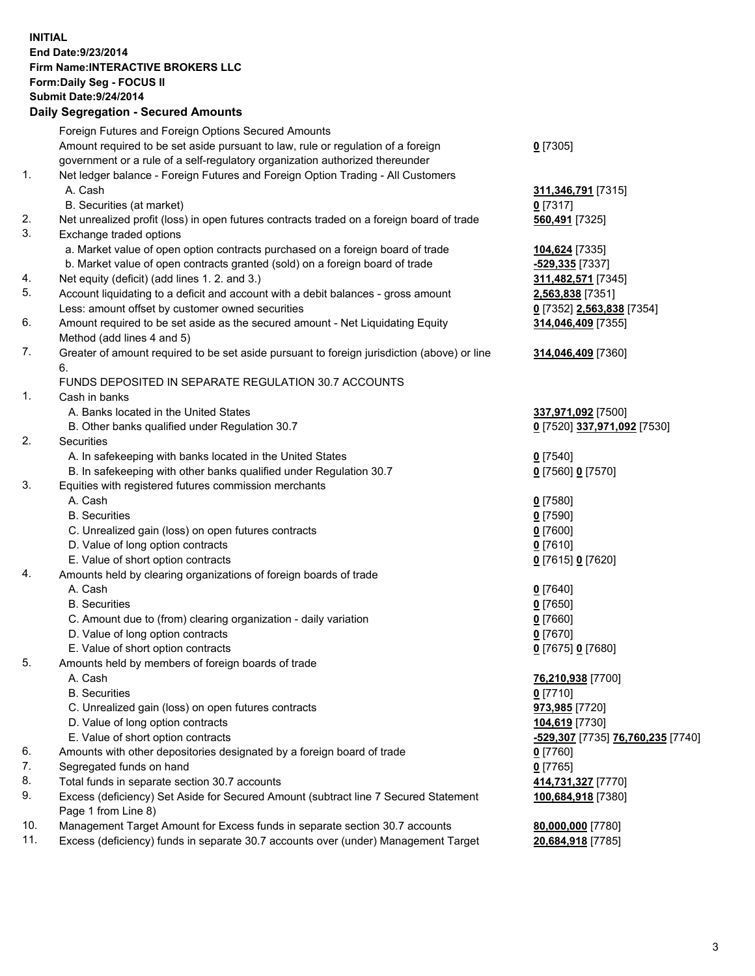## **INITIAL End Date:9/23/2014 Firm Name:INTERACTIVE BROKERS LLC Form:Daily Seg - FOCUS II Submit Date:9/24/2014 Daily Segregation - Secured Amounts**

|                | Daily Jegregation - Jeculed Aniounts                                                                       |                                   |
|----------------|------------------------------------------------------------------------------------------------------------|-----------------------------------|
|                | Foreign Futures and Foreign Options Secured Amounts                                                        |                                   |
|                | Amount required to be set aside pursuant to law, rule or regulation of a foreign                           | $0$ [7305]                        |
|                | government or a rule of a self-regulatory organization authorized thereunder                               |                                   |
| 1.             | Net ledger balance - Foreign Futures and Foreign Option Trading - All Customers                            |                                   |
|                | A. Cash                                                                                                    | 311,346,791 [7315]                |
|                | B. Securities (at market)                                                                                  | 0 [7317]                          |
| 2.             | Net unrealized profit (loss) in open futures contracts traded on a foreign board of trade                  | 560,491 [7325]                    |
| 3.             | Exchange traded options                                                                                    |                                   |
|                | a. Market value of open option contracts purchased on a foreign board of trade                             | 104,624 [7335]                    |
|                | b. Market value of open contracts granted (sold) on a foreign board of trade                               | -529,335 [7337]                   |
| 4.             | Net equity (deficit) (add lines 1.2. and 3.)                                                               | 311,482,571 [7345]                |
| 5.             | Account liquidating to a deficit and account with a debit balances - gross amount                          | 2,563,838 [7351]                  |
|                | Less: amount offset by customer owned securities                                                           | 0 [7352] 2,563,838 [7354]         |
| 6.             | Amount required to be set aside as the secured amount - Net Liquidating Equity                             | 314,046,409 [7355]                |
|                | Method (add lines 4 and 5)                                                                                 |                                   |
| 7.             | Greater of amount required to be set aside pursuant to foreign jurisdiction (above) or line                | 314,046,409 [7360]                |
|                | 6.                                                                                                         |                                   |
|                | FUNDS DEPOSITED IN SEPARATE REGULATION 30.7 ACCOUNTS                                                       |                                   |
| $\mathbf{1}$ . | Cash in banks                                                                                              |                                   |
|                | A. Banks located in the United States                                                                      | 337,971,092 [7500]                |
|                | B. Other banks qualified under Regulation 30.7                                                             | 0 [7520] 337,971,092 [7530]       |
| 2.             | Securities                                                                                                 |                                   |
|                | A. In safekeeping with banks located in the United States                                                  | $0$ [7540]                        |
|                | B. In safekeeping with other banks qualified under Regulation 30.7                                         | 0 [7560] 0 [7570]                 |
| 3.             | Equities with registered futures commission merchants                                                      |                                   |
|                | A. Cash                                                                                                    | $0$ [7580]                        |
|                | <b>B.</b> Securities                                                                                       | $0$ [7590]                        |
|                | C. Unrealized gain (loss) on open futures contracts                                                        | $0$ [7600]                        |
|                | D. Value of long option contracts                                                                          | $0$ [7610]                        |
|                | E. Value of short option contracts                                                                         | 0 [7615] 0 [7620]                 |
| 4.             | Amounts held by clearing organizations of foreign boards of trade                                          |                                   |
|                | A. Cash                                                                                                    | $0$ [7640]                        |
|                | <b>B.</b> Securities                                                                                       | $0$ [7650]                        |
|                | C. Amount due to (from) clearing organization - daily variation                                            | $0$ [7660]                        |
|                | D. Value of long option contracts                                                                          | $0$ [7670]                        |
|                | E. Value of short option contracts                                                                         | 0 [7675] 0 [7680]                 |
| 5.             | Amounts held by members of foreign boards of trade                                                         |                                   |
|                | A. Cash                                                                                                    | 76,210,938 [7700]                 |
|                | <b>B.</b> Securities                                                                                       | $0$ [7710]                        |
|                | C. Unrealized gain (loss) on open futures contracts                                                        | 973,985 [7720]                    |
|                | D. Value of long option contracts                                                                          | 104,619 [7730]                    |
|                | E. Value of short option contracts                                                                         | -529,307 [7735] 76,760,235 [7740] |
| 6.             | Amounts with other depositories designated by a foreign board of trade                                     | $0$ [7760]                        |
| 7.             | Segregated funds on hand                                                                                   | $0$ [7765]                        |
| 8.             | Total funds in separate section 30.7 accounts                                                              | 414,731,327 [7770]                |
| 9.             | Excess (deficiency) Set Aside for Secured Amount (subtract line 7 Secured Statement<br>Page 1 from Line 8) | 100,684,918 [7380]                |
| 10.            | Management Target Amount for Excess funds in separate section 30.7 accounts                                | 80,000,000 [7780]                 |
| 11.            | Excess (deficiency) funds in separate 30.7 accounts over (under) Management Target                         | 20,684,918 [7785]                 |
|                |                                                                                                            |                                   |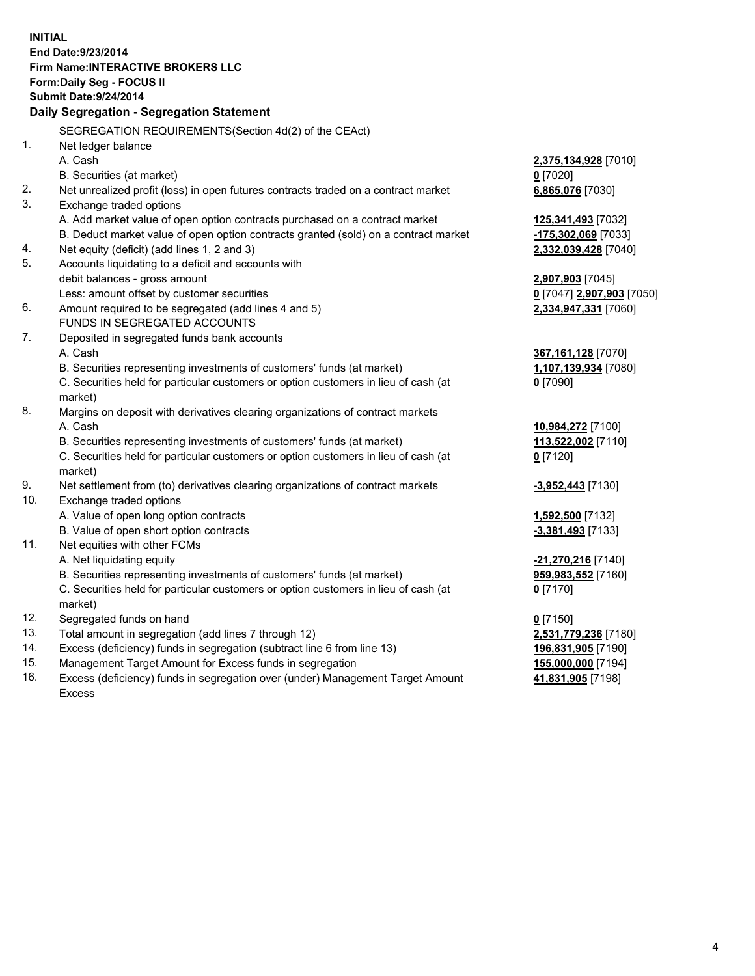**INITIAL End Date:9/23/2014 Firm Name:INTERACTIVE BROKERS LLC Form:Daily Seg - FOCUS II Submit Date:9/24/2014 Daily Segregation - Segregation Statement** SEGREGATION REQUIREMENTS(Section 4d(2) of the CEAct) 1. Net ledger balance A. Cash **2,375,134,928** [7010] B. Securities (at market) **0** [7020] 2. Net unrealized profit (loss) in open futures contracts traded on a contract market **6,865,076** [7030] 3. Exchange traded options A. Add market value of open option contracts purchased on a contract market **125,341,493** [7032] B. Deduct market value of open option contracts granted (sold) on a contract market **-175,302,069** [7033] 4. Net equity (deficit) (add lines 1, 2 and 3) **2,332,039,428** [7040] 5. Accounts liquidating to a deficit and accounts with debit balances - gross amount **2,907,903** [7045] Less: amount offset by customer securities **0** [7047] **2,907,903** [7050] 6. Amount required to be segregated (add lines 4 and 5) **2,334,947,331** [7060] FUNDS IN SEGREGATED ACCOUNTS 7. Deposited in segregated funds bank accounts A. Cash **367,161,128** [7070] B. Securities representing investments of customers' funds (at market) **1,107,139,934** [7080] C. Securities held for particular customers or option customers in lieu of cash (at market) **0** [7090] 8. Margins on deposit with derivatives clearing organizations of contract markets A. Cash **10,984,272** [7100] B. Securities representing investments of customers' funds (at market) **113,522,002** [7110] C. Securities held for particular customers or option customers in lieu of cash (at market) **0** [7120] 9. Net settlement from (to) derivatives clearing organizations of contract markets **-3,952,443** [7130] 10. Exchange traded options A. Value of open long option contracts **1,592,500** [7132] B. Value of open short option contracts **-3,381,493** [7133] 11. Net equities with other FCMs A. Net liquidating equity **-21,270,216** [7140] B. Securities representing investments of customers' funds (at market) **959,983,552** [7160] C. Securities held for particular customers or option customers in lieu of cash (at market) **0** [7170] 12. Segregated funds on hand **0** [7150] 13. Total amount in segregation (add lines 7 through 12) **2,531,779,236** [7180] 14. Excess (deficiency) funds in segregation (subtract line 6 from line 13) **196,831,905** [7190] 15. Management Target Amount for Excess funds in segregation **155,000,000** [7194]

16. Excess (deficiency) funds in segregation over (under) Management Target Amount Excess

**41,831,905** [7198]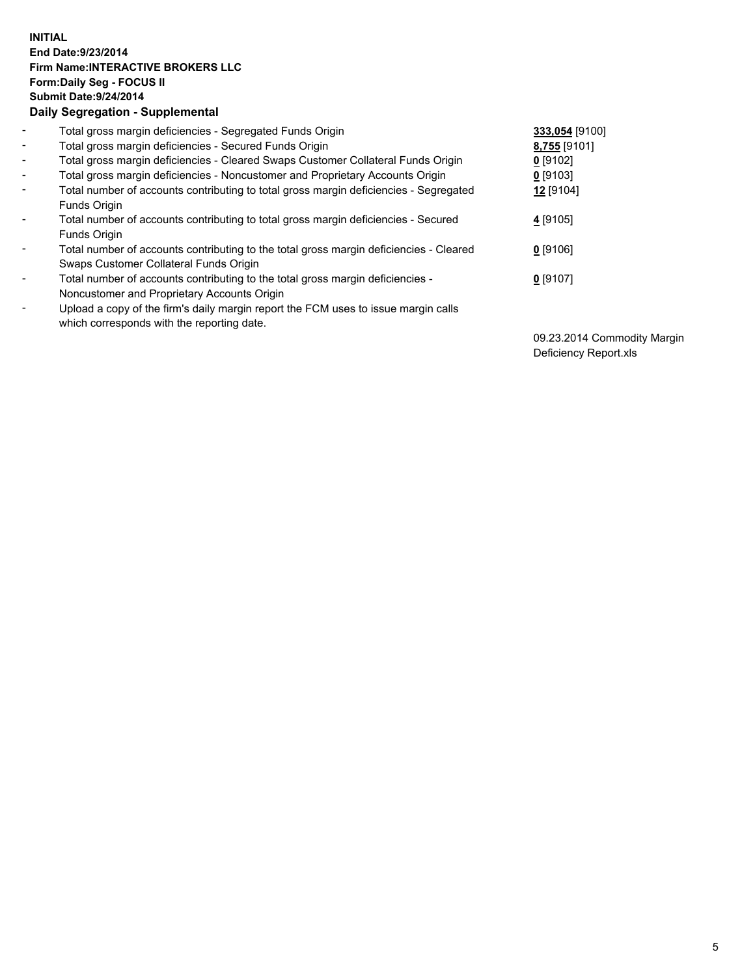## **INITIAL End Date:9/23/2014 Firm Name:INTERACTIVE BROKERS LLC Form:Daily Seg - FOCUS II Submit Date:9/24/2014 Daily Segregation - Supplemental**

| $\blacksquare$ | Total gross margin deficiencies - Segregated Funds Origin                              | 333,054 [9100] |
|----------------|----------------------------------------------------------------------------------------|----------------|
| ۰,             | Total gross margin deficiencies - Secured Funds Origin                                 | 8,755 [9101]   |
| Ξ.             | Total gross margin deficiencies - Cleared Swaps Customer Collateral Funds Origin       | $0$ [9102]     |
| $\blacksquare$ | Total gross margin deficiencies - Noncustomer and Proprietary Accounts Origin          | $0$ [9103]     |
| -              | Total number of accounts contributing to total gross margin deficiencies - Segregated  | 12 [9104]      |
|                | Funds Origin                                                                           |                |
| $\blacksquare$ | Total number of accounts contributing to total gross margin deficiencies - Secured     | 4 [9105]       |
|                | Funds Origin                                                                           |                |
| ۰              | Total number of accounts contributing to the total gross margin deficiencies - Cleared | $0$ [9106]     |
|                | Swaps Customer Collateral Funds Origin                                                 |                |
|                | Total number of accounts contributing to the total gross margin deficiencies -         | $0$ [9107]     |
|                | Noncustomer and Proprietary Accounts Origin                                            |                |
| ۰              | Upload a copy of the firm's daily margin report the FCM uses to issue margin calls     |                |
|                | which corresponds with the reporting date.                                             |                |
|                |                                                                                        |                |

09.23.2014 Commodity Margin Deficiency Report.xls